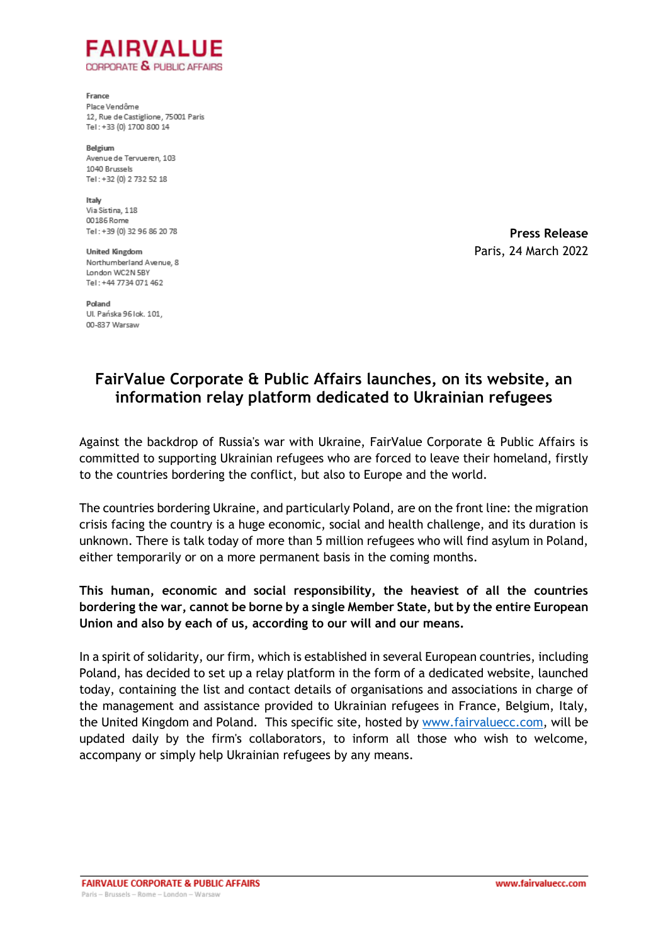

France Place Vendôme 12, Rue de Castiglione, 75001 Paris Tel: +33 (0) 1700 800 14

Belgium Avenue de Tervueren, 103 1040 Brussels Tel: +32 (0) 2 732 52 18

Italy Via Sistina, 118 00186 Rome Tel: +39 (0) 32 96 86 20 78

**United Kingdom** Northumberland Avenue, 8 London WC2N SRY Tel: +44 7734 071 462

**Press Release**  Paris, 24 March 2022

Poland Ul. Pańska 96 lok. 101. 00-837 Warsaw

## **FairValue Corporate & Public Affairs launches, on its website, an information relay platform dedicated to Ukrainian refugees**

Against the backdrop of Russia's war with Ukraine, FairValue Corporate & Public Affairs is committed to supporting Ukrainian refugees who are forced to leave their homeland, firstly to the countries bordering the conflict, but also to Europe and the world.

The countries bordering Ukraine, and particularly Poland, are on the front line: the migration crisis facing the country is a huge economic, social and health challenge, and its duration is unknown. There is talk today of more than 5 million refugees who will find asylum in Poland, either temporarily or on a more permanent basis in the coming months.

**This human, economic and social responsibility, the heaviest of all the countries bordering the war, cannot be borne by a single Member State, but by the entire European Union and also by each of us, according to our will and our means.**

In a spirit of solidarity, our firm, which is established in several European countries, including Poland, has decided to set up a relay platform in the form of a dedicated website, launched today, containing the list and contact details of organisations and associations in charge of the management and assistance provided to Ukrainian refugees in France, Belgium, Italy, the United Kingdom and Poland. This specific site, hosted by [www.fairvaluecc.com,](https://www.fairvaluecc.com/esprit-de-resistance-en-soutien-a-lukraine) will be updated daily by the firm's collaborators, to inform all those who wish to welcome, accompany or simply help Ukrainian refugees by any means.